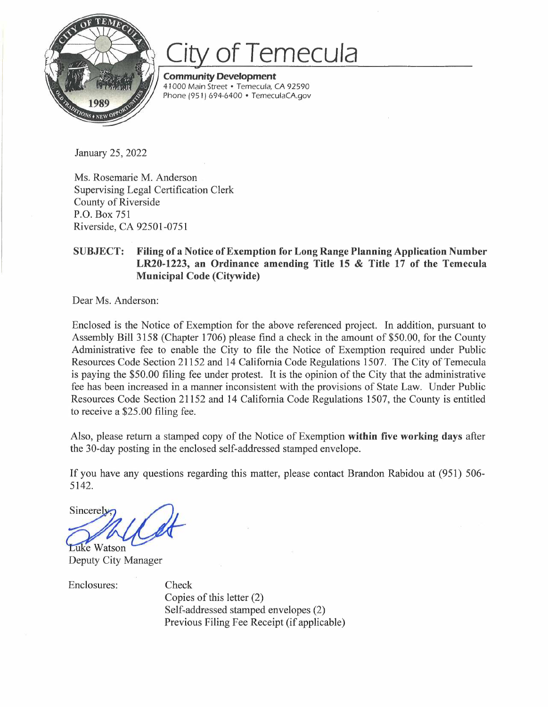

## **of Temecula**

**Community Development**  41000 Main Street • Temecula, CA 92590 Phone (95 I) 694-6400 • *TemeculaCA.gov* 

January 25, 2022

Ms. Rosemarie M. Anderson Supervising Legal Certification Clerk County of Riverside P.O. Box 751 Riverside, CA 92501-0751

## **SUBJECT: Filing of a Notice of Exemption for Long Range Planning Application Number LR20-1223, an Ordinance amending Title 15 & Title 17 of the Temecula Municipal Code (Citywide)**

Dear Ms. Anderson:

Enclosed is the Notice of Exemption for the above referenced project. In addition, pursuant to Assembly Bill 3158 (Chapter 1706) please find a check in the amount of \$50.00, for the County Administrative fee to enable the City to file the Notice of Exemption required under Public Resources Code Section 21152 and 14 California Code Regulations 1507. The City of Temecula is paying the \$50.00 filing fee under protest. It is the opinion of the City that the administrative fee has been increased in a manner inconsistent with the provisions of State Law. Under Public Resources Code Section 21152 and 14 California Code Regulations 1507, the County is entitled to receive a \$25.00 filing fee.

Also, please return a stamped copy of the Notice of Exemption **within five working days** after the 30-day posting in the enclosed self-addressed stamped envelope.

If you have any questions regarding this matter, please contact Brandon Rabidou at (951) 506- 5142.

Sincerely **Luke Watson** 

Deputy City Manager

Enclosures: Check Copies of this letter (2) Self-addressed stamped envelopes (2) Previous Filing Fee Receipt (if applicable)